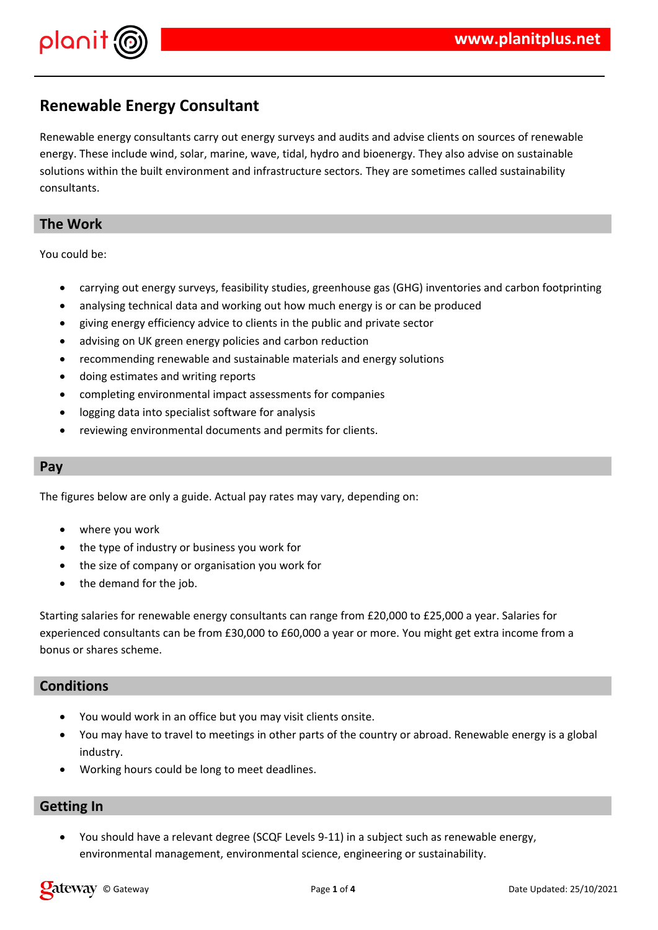



### **Renewable Energy Consultant**

Renewable energy consultants carry out energy surveys and audits and advise clients on sources of renewable energy. These include wind, solar, marine, wave, tidal, hydro and bioenergy. They also advise on sustainable solutions within the built environment and infrastructure sectors. They are sometimes called sustainability consultants.

#### **The Work**

You could be:

- carrying out energy surveys, feasibility studies, greenhouse gas (GHG) inventories and carbon footprinting
- analysing technical data and working out how much energy is or can be produced
- giving energy efficiency advice to clients in the public and private sector
- advising on UK green energy policies and carbon reduction
- recommending renewable and sustainable materials and energy solutions
- doing estimates and writing reports
- completing environmental impact assessments for companies
- logging data into specialist software for analysis
- reviewing environmental documents and permits for clients.

#### **Pay**

The figures below are only a guide. Actual pay rates may vary, depending on:

- where you work
- the type of industry or business you work for
- the size of company or organisation you work for
- the demand for the job.

Starting salaries for renewable energy consultants can range from £20,000 to £25,000 a year. Salaries for experienced consultants can be from £30,000 to £60,000 a year or more. You might get extra income from a bonus or shares scheme.

#### **Conditions**

- You would work in an office but you may visit clients onsite.
- You may have to travel to meetings in other parts of the country or abroad. Renewable energy is a global industry.
- Working hours could be long to meet deadlines.

#### **Getting In**

 You should have a relevant degree (SCQF Levels 9-11) in a subject such as renewable energy, environmental management, environmental science, engineering or sustainability.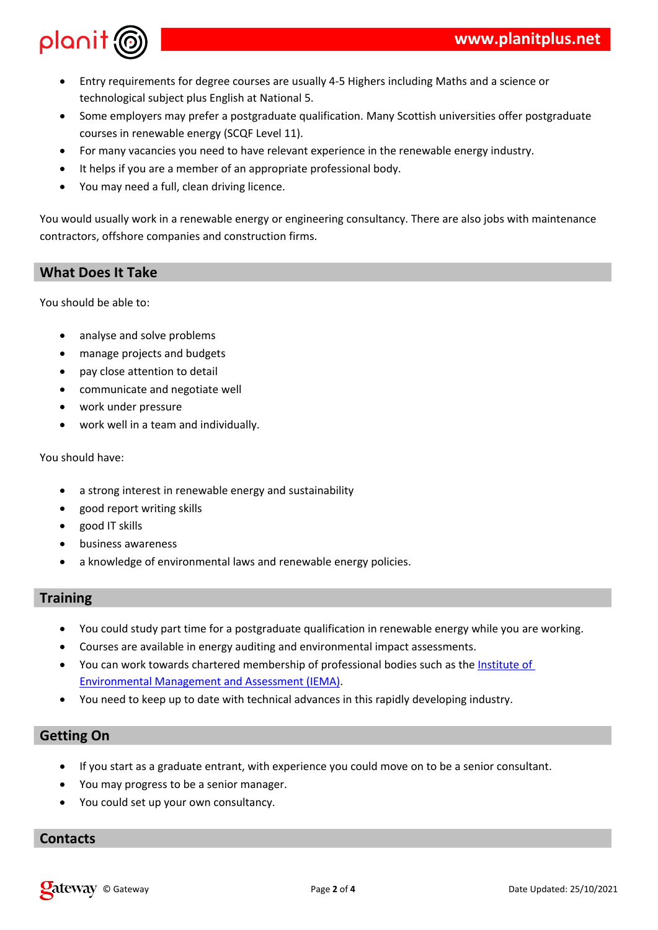





| $\overline{2}$ | # " 0         | $\mathcal{S}$ |  |
|----------------|---------------|---------------|--|
| %\$            | $\mathcal{S}$ |               |  |
| %              |               |               |  |

 $\Gamma$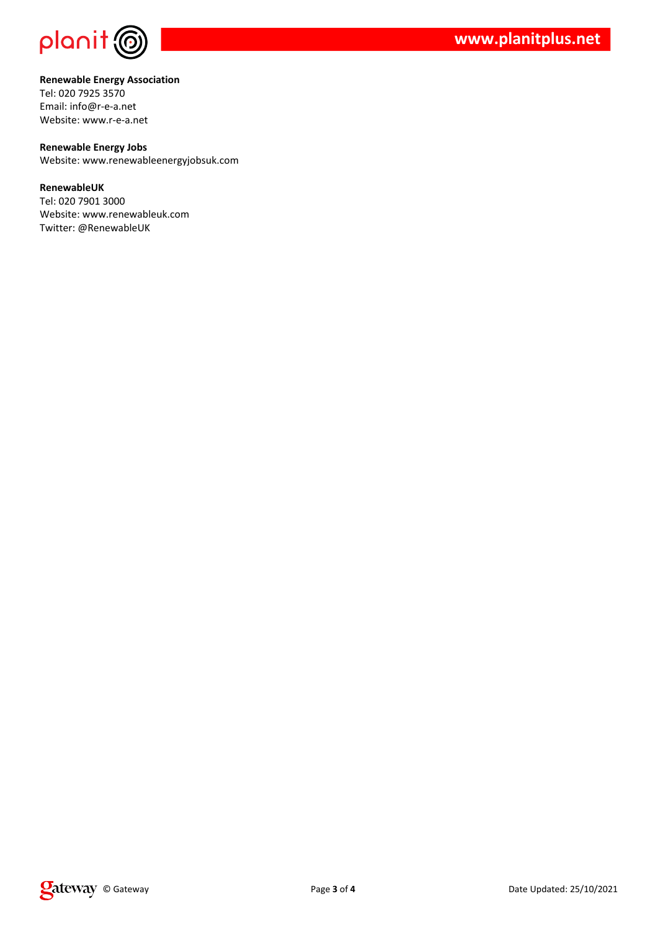

**Renewable Energy Association** Tel: 020 7925 3570 Email: info@r-e-a.net Website: www.r-e-a.net

**Renewable Energy Jobs** Website: www.renewableenergyjobsuk.com

**RenewableUK** Tel: 020 7901 3000 Website: www.renewableuk.com Twitter: @RenewableUK